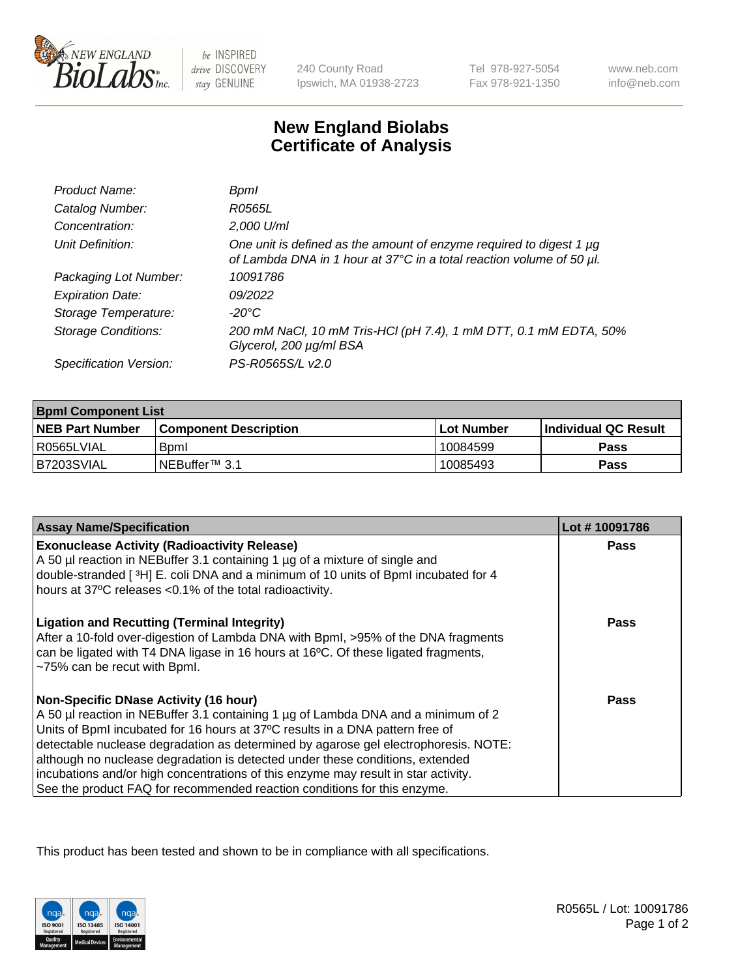

be INSPIRED drive DISCOVERY stay GENUINE

240 County Road Ipswich, MA 01938-2723 Tel 978-927-5054 Fax 978-921-1350

www.neb.com info@neb.com

## **New England Biolabs Certificate of Analysis**

| Product Name:              | Bpml                                                                                                                                             |
|----------------------------|--------------------------------------------------------------------------------------------------------------------------------------------------|
| Catalog Number:            | R0565L                                                                                                                                           |
| Concentration:             | 2,000 U/ml                                                                                                                                       |
| Unit Definition:           | One unit is defined as the amount of enzyme required to digest 1 $\mu$ g<br>of Lambda DNA in 1 hour at 37°C in a total reaction volume of 50 µl. |
| Packaging Lot Number:      | 10091786                                                                                                                                         |
| <b>Expiration Date:</b>    | 09/2022                                                                                                                                          |
| Storage Temperature:       | $-20^{\circ}$ C                                                                                                                                  |
| <b>Storage Conditions:</b> | 200 mM NaCl, 10 mM Tris-HCl (pH 7.4), 1 mM DTT, 0.1 mM EDTA, 50%<br>Glycerol, 200 µg/ml BSA                                                      |
| Specification Version:     | PS-R0565S/L v2.0                                                                                                                                 |

| <b>Bpml Component List</b> |                              |              |                             |  |
|----------------------------|------------------------------|--------------|-----------------------------|--|
| <b>NEB Part Number</b>     | <b>Component Description</b> | l Lot Number | <b>Individual QC Result</b> |  |
| l R0565LVIAL               | <b>B</b> <sub>pm</sub>       | 10084599     | Pass                        |  |
| B7203SVIAL                 | INEBuffer <sup>™</sup> 3.1   | 10085493     | Pass                        |  |

| <b>Assay Name/Specification</b>                                                                                                                                                                                                                               | Lot #10091786 |
|---------------------------------------------------------------------------------------------------------------------------------------------------------------------------------------------------------------------------------------------------------------|---------------|
| <b>Exonuclease Activity (Radioactivity Release)</b><br>A 50 µl reaction in NEBuffer 3.1 containing 1 µg of a mixture of single and                                                                                                                            | Pass          |
| double-stranded [3H] E. coli DNA and a minimum of 10 units of BpmI incubated for 4                                                                                                                                                                            |               |
| hours at 37°C releases <0.1% of the total radioactivity.                                                                                                                                                                                                      |               |
| <b>Ligation and Recutting (Terminal Integrity)</b><br>After a 10-fold over-digestion of Lambda DNA with Bpml, >95% of the DNA fragments<br>can be ligated with T4 DNA ligase in 16 hours at 16°C. Of these ligated fragments,<br>~75% can be recut with Bpml. | Pass          |
| <b>Non-Specific DNase Activity (16 hour)</b>                                                                                                                                                                                                                  | Pass          |
| A 50 µl reaction in NEBuffer 3.1 containing 1 µg of Lambda DNA and a minimum of 2                                                                                                                                                                             |               |
| Units of BpmI incubated for 16 hours at 37°C results in a DNA pattern free of<br>detectable nuclease degradation as determined by agarose gel electrophoresis. NOTE:                                                                                          |               |
| although no nuclease degradation is detected under these conditions, extended                                                                                                                                                                                 |               |
| incubations and/or high concentrations of this enzyme may result in star activity.                                                                                                                                                                            |               |
| See the product FAQ for recommended reaction conditions for this enzyme.                                                                                                                                                                                      |               |

This product has been tested and shown to be in compliance with all specifications.